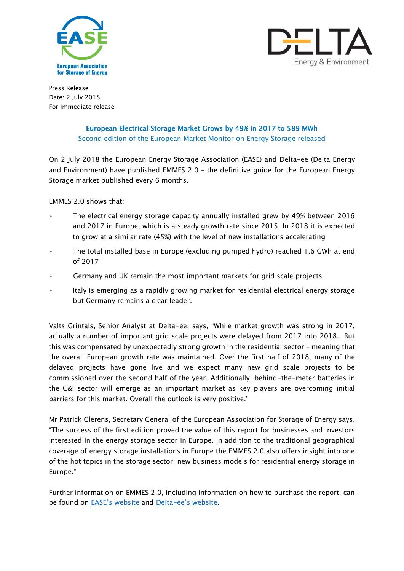



Press Release Date: 2 July 2018 For immediate release

## European Electrical Storage Market Grows by 49% in 2017 to 589 MWh Second edition of the European Market Monitor on Energy Storage released

On 2 July 2018 the European Energy Storage Association (EASE) and [Delta-ee](http://www.delta-ee.com/) (Delta Energy and Environment) have published EMMES 2.0 – the definitive guide for the European Energy Storage market published every 6 months.

EMMES 2.0 shows that:

- The electrical energy storage capacity annually installed grew by 49% between 2016 and 2017 in Europe, which is a steady growth rate since 2015. In 2018 it is expected to grow at a similar rate (45%) with the level of new installations accelerating
- The total installed base in Europe (excluding pumped hydro) reached 1.6 GWh at end of 2017
- Germany and UK remain the most important markets for grid scale projects
- Italy is emerging as a rapidly growing market for residential electrical energy storage but Germany remains a clear leader.

Valts Grintals, Senior Analyst at Delta-ee, says, "While market growth was strong in 2017, actually a number of important grid scale projects were delayed from 2017 into 2018. But this was compensated by unexpectedly strong growth in the residential sector – meaning that the overall European growth rate was maintained. Over the first half of 2018, many of the delayed projects have gone live and we expect many new grid scale projects to be commissioned over the second half of the year. Additionally, behind-the-meter batteries in the C&I sector will emerge as an important market as key players are overcoming initial barriers for this market. Overall the outlook is very positive."

Mr Patrick Clerens, Secretary General of the European Association for Storage of Energy says, "The success of the first edition proved the value of this report for businesses and investors interested in the energy storage sector in Europe. In addition to the traditional geographical coverage of energy storage installations in Europe the EMMES 2.0 also offers insight into one of the hot topics in the storage sector: new business models for residential energy storage in Europe."

Further information on EMMES 2.0, including information on how to purchase the report, can be found on [EASE's website](http://ease-storage.eu/category/publications/emmes/) and Delta-[ee's website](http://www.delta-ee.com/EMMES).